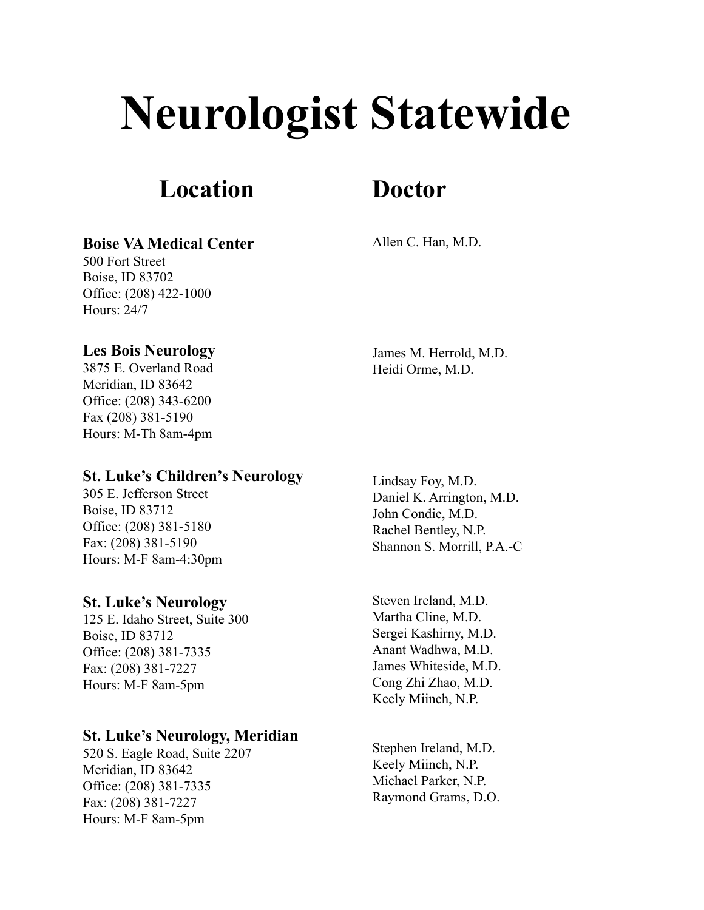# **Neurologist Statewide**

# **Location**

# **Doctor**

**Boise VA Medical Center**

Allen C. Han, M.D.

# **Les Bois Neurology**

Office: (208) 422-1000

500 Fort Street Boise, ID 83702

Hours: 24/7

3875 E. Overland Road Meridian, ID 83642 Office: (208) 343-6200 Fax (208) 381-5190 Hours: M-Th 8am-4pm

James M. Herrold, M.D. Heidi Orme, M.D.

# **St. Luke's Children's Neurology**

305 E. Jefferson Street Boise, ID 83712 Office: (208) 381-5180 Fax: (208) 381-5190 Hours: M-F 8am-4:30pm

# **St. Luke's Neurology**

125 E. Idaho Street, Suite 300 Boise, ID 83712 Office: (208) 381-7335 Fax: (208) 381-7227 Hours: M-F 8am-5pm

# **St. Luke's Neurology, Meridian**

520 S. Eagle Road, Suite 2207 Meridian, ID 83642 Office: (208) 381-7335 Fax: (208) 381-7227 Hours: M-F 8am-5pm

Lindsay Foy, M.D. Daniel K. Arrington, M.D. John Condie, M.D. Rachel Bentley, N.P. Shannon S. Morrill, P.A.-C

Steven Ireland, M.D. Martha Cline, M.D. Sergei Kashirny, M.D. Anant Wadhwa, M.D. James Whiteside, M.D. Cong Zhi Zhao, M.D. Keely Miinch, N.P.

Stephen Ireland, M.D. Keely Miinch, N.P. Michael Parker, N.P. Raymond Grams, D.O.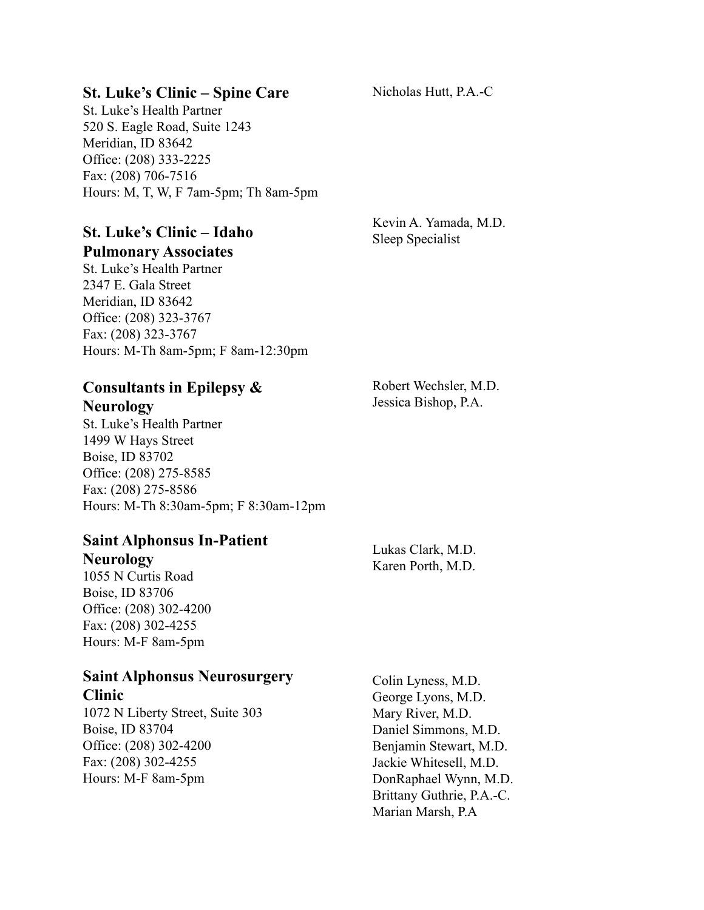#### **St. Luke's Clinic – Spine Care**

St. Luke's Health Partner 520 S. Eagle Road, Suite 1243 Meridian, ID 83642 Office: (208) 333-2225 Fax: (208) 706-7516 Hours: M, T, W, F 7am-5pm; Th 8am-5pm

# **St. Luke's Clinic – Idaho Pulmonary Associates**

St. Luke's Health Partner 2347 E. Gala Street Meridian, ID 83642 Office: (208) 323-3767 Fax: (208) 323-3767 Hours: M-Th 8am-5pm; F 8am-12:30pm

# **Consultants in Epilepsy & Neurology**

St. Luke's Health Partner 1499 W Hays Street Boise, ID 83702 Office: (208) 275-8585 Fax: (208) 275-8586 Hours: M-Th 8:30am-5pm; F 8:30am-12pm

# **Saint Alphonsus In-Patient Neurology**

1055 N Curtis Road Boise, ID 83706 Office: (208) 302-4200 Fax: (208) 302-4255 Hours: M-F 8am-5pm

#### **Saint Alphonsus Neurosurgery Clinic**

1072 N Liberty Street, Suite 303 Boise, ID 83704 Office: (208) 302-4200 Fax: (208) 302-4255 Hours: M-F 8am-5pm

Colin Lyness, M.D. George Lyons, M.D. Mary River, M.D. Daniel Simmons, M.D. Benjamin Stewart, M.D. Jackie Whitesell, M.D. DonRaphael Wynn, M.D. Brittany Guthrie, P.A.-C. Marian Marsh, P.A

Lukas Clark, M.D.

Karen Porth, M.D.

Kevin A. Yamada, M.D.

Sleep Specialist

Robert Wechsler, M.D. Jessica Bishop, P.A.

Nicholas Hutt, P.A.-C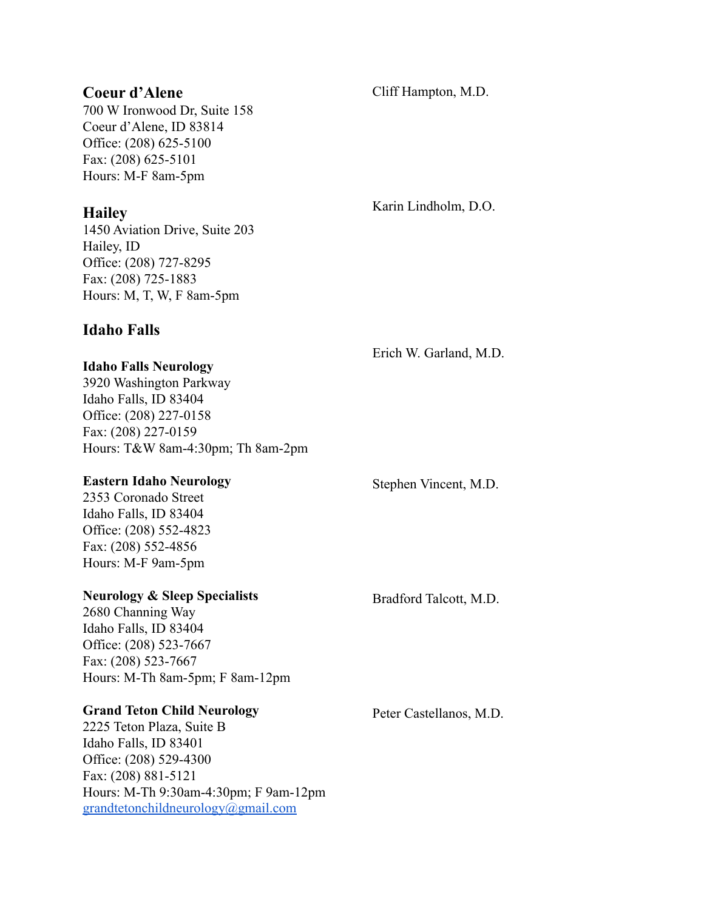#### **Coeur d'Alene**

700 W Ironwood Dr, Suite 158 Coeur d'Alene, ID 83814 Office: (208) 625-5100 Fax: (208) 625-5101 Hours: M-F 8am-5pm

## **Hailey**

1450 Aviation Drive, Suite 203 Hailey, ID Office: (208) 727-8295 Fax: (208) 725-1883 Hours: M, T, W, F 8am-5pm

# **Idaho Falls**

Erich W. Garland, M.D.

#### **Idaho Falls Neurology**

3920 Washington Parkway Idaho Falls, ID 83404 Office: (208) 227-0158 Fax: (208) 227-0159 Hours: T&W 8am-4:30pm; Th 8am-2pm

#### **Eastern Idaho Neurology**

2353 Coronado Street Idaho Falls, ID 83404 Office: (208) 552-4823 Fax: (208) 552-4856 Hours: M-F 9am-5pm

#### **Neurology & Sleep Specialists**

2680 Channing Way Idaho Falls, ID 83404 Office: (208) 523-7667 Fax: (208) 523-7667 Hours: M-Th 8am-5pm; F 8am-12pm

#### **Grand Teton Child Neurology**

2225 Teton Plaza, Suite B Idaho Falls, ID 83401 Office: (208) 529-4300 Fax: (208) 881-5121 Hours: M-Th 9:30am-4:30pm; F 9am-12pm [grandtetonchildneurology@gmail.com](mailto:grandtetonchildneurology@gmail.com)

Stephen Vincent, M.D.

Bradford Talcott, M.D.

Peter Castellanos, M.D.

Cliff Hampton, M.D.

Karin Lindholm, D.O.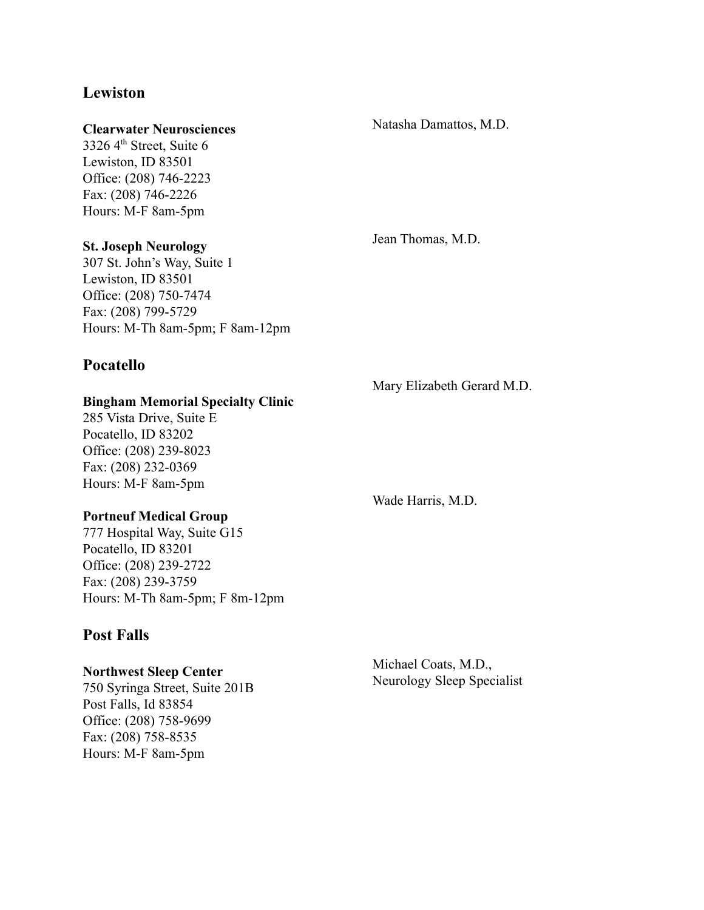# **Lewiston**

#### **Clearwater Neurosciences**

3326  $4<sup>th</sup>$  Street, Suite 6 Lewiston, ID 83501 Office: (208) 746-2223 Fax: (208) 746-2226 Hours: M-F 8am-5pm

#### **St. Joseph Neurology**

307 St. John's Way, Suite 1 Lewiston, ID 83501 Office: (208) 750-7474 Fax: (208) 799-5729 Hours: M-Th 8am-5pm; F 8am-12pm

# **Pocatello**

#### **Bingham Memorial Specialty Clinic**

285 Vista Drive, Suite E Pocatello, ID 83202 Office: (208) 239-8023 Fax: (208) 232-0369 Hours: M-F 8am-5pm

#### **Portneuf Medical Group**

777 Hospital Way, Suite G15 Pocatello, ID 83201 Office: (208) 239-2722 Fax: (208) 239-3759 Hours: M-Th 8am-5pm; F 8m-12pm

#### **Post Falls**

#### **Northwest Sleep Center**

750 Syringa Street, Suite 201B Post Falls, Id 83854 Office: (208) 758-9699 Fax: (208) 758-8535 Hours: M-F 8am-5pm

Jean Thomas, M.D.

Mary Elizabeth Gerard M.D.

Wade Harris, M.D.

Michael Coats, M.D., Neurology Sleep Specialist